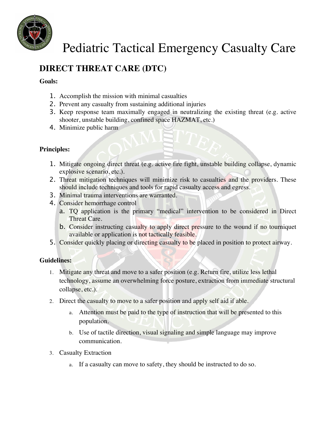

### **DIRECT THREAT CARE (DTC)**

#### **Goals:**

- 1. Accomplish the mission with minimal casualties
- 2. Prevent any casualty from sustaining additional injuries
- 3. Keep response team maximally engaged in neutralizing the existing threat (e.g. active shooter, unstable building, confined space HAZMAT, etc.)
- 4. Minimize public harm

#### **Principles:**

- 1. Mitigate ongoing direct threat (e.g. active fire fight, unstable building collapse, dynamic explosive scenario, etc.).
- 2. Threat mitigation techniques will minimize risk to casualties and the providers. These should include techniques and tools for rapid casualty access and egress.
- 3. Minimal trauma interventions are warranted.
- 4. Consider hemorrhage control
	- a. TQ application is the primary "medical" intervention to be considered in Direct Threat Care.
	- b. Consider instructing casualty to apply direct pressure to the wound if no tourniquet available or application is not tactically feasible.
- 5. Consider quickly placing or directing casualty to be placed in position to protect airway.

#### **Guidelines:**

- 1. Mitigate any threat and move to a safer position (e.g. Return fire, utilize less lethal technology, assume an overwhelming force posture, extraction from immediate structural collapse, etc.).
- 2. Direct the casualty to move to a safer position and apply self aid if able.
	- a. Attention must be paid to the type of instruction that will be presented to this population.
	- b. Use of tactile direction, visual signaling and simple language may improve communication.
- 3. Casualty Extraction
	- a. If a casualty can move to safety, they should be instructed to do so.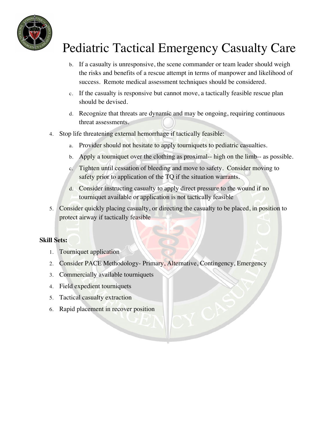

- b. If a casualty is unresponsive, the scene commander or team leader should weigh the risks and benefits of a rescue attempt in terms of manpower and likelihood of success. Remote medical assessment techniques should be considered.
- c. If the casualty is responsive but cannot move, a tactically feasible rescue plan should be devised.
- d. Recognize that threats are dynamic and may be ongoing, requiring continuous threat assessments.
- 4. Stop life threatening external hemorrhage if tactically feasible:
	- a. Provider should not hesitate to apply tourniquets to pediatric casualties.
	- b. Apply a tourniquet over the clothing as proximal-- high on the limb-- as possible.
	- c. Tighten until cessation of bleeding and move to safety. Consider moving to safety prior to application of the TQ if the situation warrants.
	- d. Consider instructing casualty to apply direct pressure to the wound if no tourniquet available or application is not tactically feasible
- 5. Consider quickly placing casualty, or directing the casualty to be placed, in position to protect airway if tactically feasible

### **Skill Sets:**

- 1. Tourniquet application
- 2. Consider PACE Methodology- Primary, Alternative, Contingency, Emergency
- 3. Commercially available tourniquets
- 4. Field expedient tourniquets
- 5. Tactical casualty extraction
- 6. Rapid placement in recover position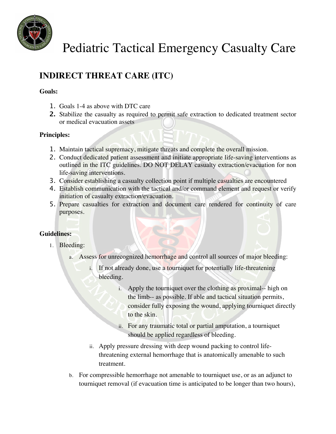

### **INDIRECT THREAT CARE (ITC)**

#### **Goals:**

- 1. Goals 1-4 as above with DTC care
- **2.** Stabilize the casualty as required to permit safe extraction to dedicated treatment sector or medical evacuation assets

#### **Principles:**

- 1. Maintain tactical supremacy, mitigate threats and complete the overall mission.
- 2. Conduct dedicated patient assessment and initiate appropriate life-saving interventions as outlined in the ITC guidelines. DO NOT DELAY casualty extraction/evacuation for non life-saving interventions.
- 3. Consider establishing a casualty collection point if multiple casualties are encountered
- 4. Establish communication with the tactical and/or command element and request or verify initiation of casualty extraction/evacuation.
- 5. Prepare casualties for extraction and document care rendered for continuity of care purposes.

### **Guidelines:**

- 1. Bleeding:
	- a. Assess for unrecognized hemorrhage and control all sources of major bleeding:
		- i. If not already done, use a tourniquet for potentially life-threatening bleeding.
			- i. Apply the tourniquet over the clothing as proximal-- high on the limb-- as possible. If able and tactical situation permits, consider fully exposing the wound, applying tourniquet directly to the skin.
			- ii. For any traumatic total or partial amputation, a tourniquet should be applied regardless of bleeding.
		- ii. Apply pressure dressing with deep wound packing to control lifethreatening external hemorrhage that is anatomically amenable to such treatment.
	- b. For compressible hemorrhage not amenable to tourniquet use, or as an adjunct to tourniquet removal (if evacuation time is anticipated to be longer than two hours),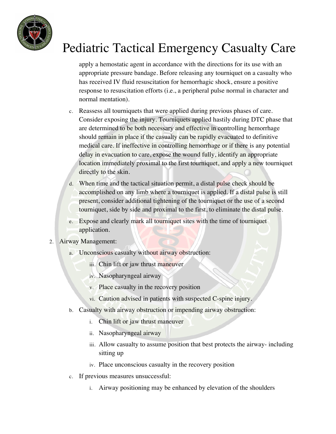

apply a hemostatic agent in accordance with the directions for its use with an appropriate pressure bandage. Before releasing any tourniquet on a casualty who has received IV fluid resuscitation for hemorrhagic shock, ensure a positive response to resuscitation efforts (i.e., a peripheral pulse normal in character and normal mentation).

- c. Reassess all tourniquets that were applied during previous phases of care. Consider exposing the injury. Tourniquets applied hastily during DTC phase that are determined to be both necessary and effective in controlling hemorrhage should remain in place if the casualty can be rapidly evacuated to definitive medical care. If ineffective in controlling hemorrhage or if there is any potential delay in evacuation to care, expose the wound fully, identify an appropriate location immediately proximal to the first tourniquet, and apply a new tourniquet directly to the skin.
- d. When time and the tactical situation permit, a distal pulse check should be accomplished on any limb where a tourniquet is applied. If a distal pulse is still present, consider additional tightening of the tourniquet or the use of a second tourniquet, side by side and proximal to the first, to eliminate the distal pulse.
- e. Expose and clearly mark all tourniquet sites with the time of tourniquet application.
- 2. Airway Management:
	- a. Unconscious casualty without airway obstruction:
		- iii. Chin lift or jaw thrust maneuver
		- iv. Nasopharyngeal airway
		- v. Place casualty in the recovery position
		- vi. Caution advised in patients with suspected C-spine injury.
	- b. Casualty with airway obstruction or impending airway obstruction:
		- i. Chin lift or jaw thrust maneuver
		- ii. Nasopharyngeal airway
		- iii. Allow casualty to assume position that best protects the airway- including sitting up
		- iv. Place unconscious casualty in the recovery position
	- c. If previous measures unsuccessful:
		- i. Airway positioning may be enhanced by elevation of the shoulders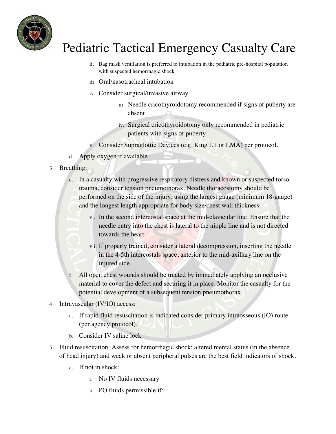

- ii. Bag mask ventilation is preferred to intubation in the pediatric pre-hospital population with suspected hemorrhagic shock
- iii. Oral/nasotracheal intubation
- iv. Consider surgical/invasive airway
	- iii. Needle cricothyroidotomy recommended if signs of puberty are absent
	- iv. Surgical cricothyroidotomy only recommended in pediatric patients with signs of puberty
- v. Consider Supraglottic Devices (e.g. King LT or LMA) per protocol.
- d. Apply oxygen if available
- 3. Breathing:
	- e. In a casualty with progressive respiratory distress and known or suspected torso trauma, consider tension pneumothorax. Needle thoracostomy should be performed on the side of the injury, using the largest gauge (minimum 18-gauge) and the longest length appropriate for body size/chest wall thickness:
		- vi. In the second intercostal space at the mid-clavicular line. Ensure that the needle entry into the chest is lateral to the nipple line and is not directed towards the heart.
		- vii. If properly trained, consider a lateral decompression, inserting the needle in the 4-5th intercostals space, anterior to the mid-axillary line on the injured side.
	- f. All open chest wounds should be treated by immediately applying an occlusive material to cover the defect and securing it in place. Monitor the casualty for the potential development of a subsequent tension pneumothorax.
- 4. Intravascular (IV/IO) access:
	- a. If rapid fluid resuscitation is indicated consider primary intraosseous (IO) route (per agency protocol).
	- b. Consider IV saline lock
- 5. Fluid resuscitation: Assess for hemorrhagic shock; altered mental status (in the absence of head injury) and weak or absent peripheral pulses are the best field indicators of shock.
	- a. If not in shock:
		- i. No IV fluids necessary
		- ii. PO fluids permissible if: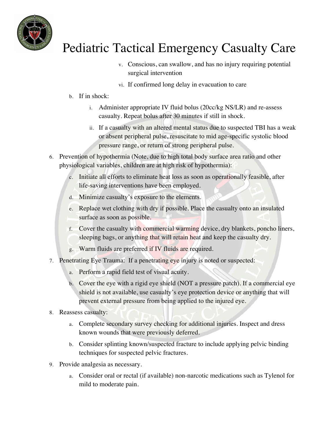

- v. Conscious, can swallow, and has no injury requiring potential surgical intervention
- vi. If confirmed long delay in evacuation to care
- b. If in shock:
	- i. Administer appropriate IV fluid bolus (20cc/kg NS/LR) and re-assess casualty. Repeat bolus after 30 minutes if still in shock.
	- ii. If a casualty with an altered mental status due to suspected TBI has a weak or absent peripheral pulse, resuscitate to mid age-specific systolic blood pressure range, or return of strong peripheral pulse.
- 6. Prevention of hypothermia (Note, due to high total body surface area ratio and other physiological variables, children are at high risk of hypothermia):
	- c. Initiate all efforts to eliminate heat loss as soon as operationally feasible, after life-saving interventions have been employed.
	- d. Minimize casualty's exposure to the elements.
	- e. Replace wet clothing with dry if possible. Place the casualty onto an insulated surface as soon as possible.
	- f. Cover the casualty with commercial warming device, dry blankets, poncho liners, sleeping bags, or anything that will retain heat and keep the casualty dry.
	- g. Warm fluids are preferred if IV fluids are required.
- 7. Penetrating Eye Trauma: If a penetrating eye injury is noted or suspected:
	- a. Perform a rapid field test of visual acuity.
	- b. Cover the eye with a rigid eye shield (NOT a pressure patch). If a commercial eye shield is not available, use casualty's eye protection device or anything that will prevent external pressure from being applied to the injured eye.
- 8. Reassess casualty:
	- a. Complete secondary survey checking for additional injuries. Inspect and dress known wounds that were previously deferred.
	- b. Consider splinting known/suspected fracture to include applying pelvic binding techniques for suspected pelvic fractures.
- 9. Provide analgesia as necessary.
	- a. Consider oral or rectal (if available) non-narcotic medications such as Tylenol for mild to moderate pain.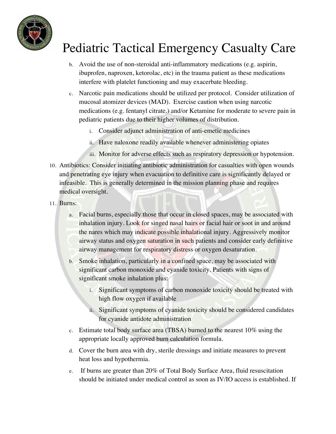

- b. Avoid the use of non-steroidal anti-inflammatory medications (e.g. aspirin, ibuprofen, naproxen, ketorolac, etc) in the trauma patient as these medications interfere with platelet functioning and may exacerbate bleeding.
- c. Narcotic pain medications should be utilized per protocol. Consider utilization of mucosal atomizer devices (MAD). Exercise caution when using narcotic medications (e.g. fentanyl citrate.) and/or Ketamine for moderate to severe pain in pediatric patients due to their higher volumes of distribution.
	- i. Consider adjunct administration of anti-emetic medicines
	- ii. Have naloxone readily available whenever administering opiates
	- iii. Monitor for adverse effects such as respiratory depression or hypotension.
- 10. Antibiotics: Consider initiating antibiotic administration for casualties with open wounds and penetrating eye injury when evacuation to definitive care is significantly delayed or infeasible. This is generally determined in the mission planning phase and requires medical oversight.
- 11. Burns:
	- a. Facial burns, especially those that occur in closed spaces, may be associated with inhalation injury. Look for singed nasal hairs or facial hair or soot in and around the nares which may indicate possible inhalational injury. Aggressively monitor airway status and oxygen saturation in such patients and consider early definitive airway management for respiratory distress or oxygen desaturation.
	- b. Smoke inhalation, particularly in a confined space, may be associated with significant carbon monoxide and cyanide toxicity. Patients with signs of significant smoke inhalation plus:
		- i. Significant symptoms of carbon monoxide toxicity should be treated with high flow oxygen if available
		- ii. Significant symptoms of cyanide toxicity should be considered candidates for cyanide antidote administration
	- c. Estimate total body surface area (TBSA) burned to the nearest 10% using the appropriate locally approved burn calculation formula.
	- d. Cover the burn area with dry, sterile dressings and initiate measures to prevent heat loss and hypothermia.
	- e. If burns are greater than 20% of Total Body Surface Area, fluid resuscitation should be initiated under medical control as soon as IV/IO access is established. If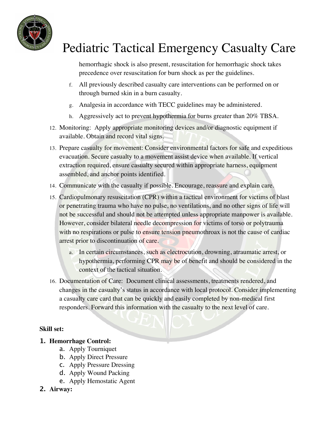

hemorrhagic shock is also present, resuscitation for hemorrhagic shock takes precedence over resuscitation for burn shock as per the guidelines.

- f. All previously described casualty care interventions can be performed on or through burned skin in a burn casualty.
- g. Analgesia in accordance with TECC guidelines may be administered.
- h. Aggressively act to prevent hypothermia for burns greater than 20% TBSA.
- 12. Monitoring: Apply appropriate monitoring devices and/or diagnostic equipment if available. Obtain and record vital signs.
- 13. Prepare casualty for movement: Consider environmental factors for safe and expeditious evacuation. Secure casualty to a movement assist device when available. If vertical extraction required, ensure casualty secured within appropriate harness, equipment assembled, and anchor points identified.
- 14. Communicate with the casualty if possible. Encourage, reassure and explain care.
- 15. Cardiopulmonary resuscitation (CPR) within a tactical environment for victims of blast or penetrating trauma who have no pulse, no ventilations, and no other signs of life will not be successful and should not be attempted unless appropriate manpower is available. However, consider bilateral needle decompression for victims of torso or polytrauma with no respirations or pulse to ensure tension pneumothroax is not the cause of cardiac arrest prior to discontinuation of care.
	- a. In certain circumstances, such as electrocution, drowning, atraumatic arrest, or hypothermia, performing CPR may be of benefit and should be considered in the context of the tactical situation.
- 16. Documentation of Care: Document clinical assessments, treatments rendered, and changes in the casualty's status in accordance with local protocol. Consider implementing a casualty care card that can be quickly and easily completed by non-medical first responders. Forward this information with the casualty to the next level of care.

#### **Skill set:**

- **1. Hemorrhage Control:**
	- a. Apply Tourniquet
	- b. Apply Direct Pressure
	- c. Apply Pressure Dressing
	- d. Apply Wound Packing
	- e. Apply Hemostatic Agent

### **2. Airway:**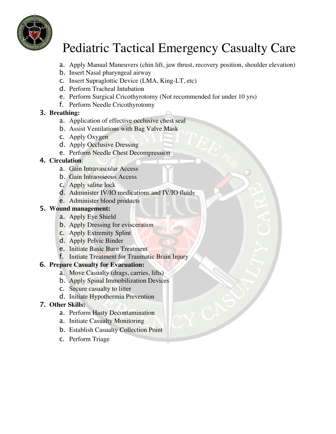

- a. Apply Manual Maneuvers (chin lift, jaw thrust, recovery position, shoulder elevation)
- b. Insert Nasal pharyngeal airway
- c. Insert Supraglottic Device (LMA, King-LT, etc)
- d. Perform Tracheal Intubation
- e. Perform Surgical Cricothyrotomy (Not recommended for under 10 yrs)
- f. Perform Needle Cricothyrotomy

### **3. Breathing:**

- a. Application of effective occlusive chest seal
- b. Assist Ventilations with Bag Valve Mask
- c. Apply Oxygen
- d. Apply Occlusive Dressing
- e. Perform Needle Chest Decompression

### **4. Circulation**:

- a. Gain Intravascular Access
- b. Gain Intraosseous Access
- c. Apply saline lock
- d. Administer IV/IO medications and IV/IO fluids
- e. Administer blood products

#### **5. Wound management:**

- a. Apply Eye Shield
- b. Apply Dressing for evisceration
- c. Apply Extremity Splint
- d. Apply Pelvic Binder
- e. Initiate Basic Burn Treatment
- f. Initiate Treatment for Traumatic Brain Injury

### **6. Prepare Casualty for Evacuation:**

- a. Move Casualty (drags, carries, lifts)
- b. Apply Spinal Immobilization Devices
- c. Secure casualty to litter
- d. Initiate Hypothermia Prevention

### **7. Other Skills:**

- a. Perform Hasty Decontamination
- a. Initiate Casualty Monitoring
- b. Establish Casualty Collection Point
- c. Perform Triage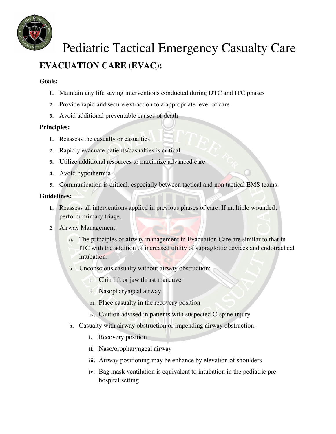

### **EVACUATION CARE (EVAC):**

#### **Goals:**

- **1.** Maintain any life saving interventions conducted during DTC and ITC phases
- **2.** Provide rapid and secure extraction to a appropriate level of care
- **3.** Avoid additional preventable causes of death

### **Principles:**

- **1.** Reassess the casualty or casualties
- **2.** Rapidly evacuate patients/casualties is critical
- **3.** Utilize additional resources to maximize advanced care
- **4.** Avoid hypothermia
- **5.** Communication is critical, especially between tactical and non tactical EMS teams.

#### **Guidelines:**

- **1.** Reassess all interventions applied in previous phases of care. If multiple wounded, perform primary triage.
- 2. Airway Management:
	- **a.** The principles of airway management in Evacuation Care are similar to that in ITC with the addition of increased utility of supraglottic devices and endotracheal intubation.
	- b. Unconscious casualty without airway obstruction:
		- i. Chin lift or jaw thrust maneuver
		- ii. Nasopharyngeal airway
		- iii. Place casualty in the recovery position
		- iv. Caution advised in patients with suspected C-spine injury
	- **b.** Casualty with airway obstruction or impending airway obstruction:
		- **i.** Recovery position
		- **ii.** Naso/oropharyngeal airway
		- **iii.** Airway positioning may be enhance by elevation of shoulders
		- **iv.** Bag mask ventilation is equivalent to intubation in the pediatric prehospital setting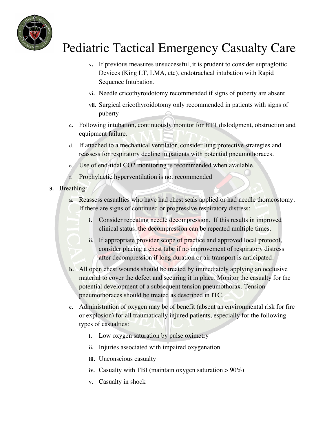

- **v.** If previous measures unsuccessful, it is prudent to consider supraglottic Devices (King LT, LMA, etc), endotracheal intubation with Rapid Sequence Intubation.
- **vi.** Needle cricothyroidotomy recommended if signs of puberty are absent
- **vii.** Surgical cricothyroidotomy only recommended in patients with signs of puberty
- **c.** Following intubation, continuously monitor for ETT dislodgment, obstruction and equipment failure.
- d. If attached to a mechanical ventilator, consider lung protective strategies and reassess for respiratory decline in patients with potential pneumothoraces.
- e. Use of end-tidal CO2 monitoring is recommended when available.
- f. Prophylactic hyperventilation is not recommended
- **3.** Breathing:
	- **a.** Reassess casualties who have had chest seals applied or had needle thoracostomy. If there are signs of continued or progressive respiratory distress:
		- **i.** Consider repeating needle decompression. If this results in improved clinical status, the decompression can be repeated multiple times.
		- **ii.** If appropriate provider scope of practice and approved local protocol, consider placing a chest tube if no improvement of respiratory distress after decompression if long duration or air transport is anticipated.
	- **b.** All open chest wounds should be treated by immediately applying an occlusive material to cover the defect and securing it in place. Monitor the casualty for the potential development of a subsequent tension pneumothorax. Tension pneumothoraces should be treated as described in ITC.
	- **c.** Administration of oxygen may be of benefit (absent an environmental risk for fire or explosion) for all traumatically injured patients, especially for the following types of casualties:
		- **i.** Low oxygen saturation by pulse oximetry
		- **ii.** Injuries associated with impaired oxygenation
		- **iii.** Unconscious casualty
		- **iv.** Casualty with TBI (maintain oxygen saturation > 90%)
		- **v.** Casualty in shock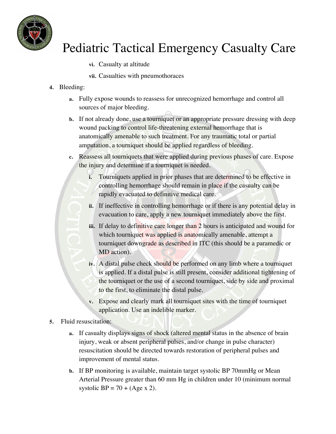

- **vi.** Casualty at altitude
- **vii.** Casualties with pneumothoraces
- **4.** Bleeding:
	- **a.** Fully expose wounds to reassess for unrecognized hemorrhage and control all sources of major bleeding.
	- **b.** If not already done, use a tourniquet or an appropriate pressure dressing with deep wound packing to control life-threatening external hemorrhage that is anatomically amenable to such treatment. For any traumatic total or partial amputation, a tourniquet should be applied regardless of bleeding.
	- **c.** Reassess all tourniquets that were applied during previous phases of care. Expose the injury and determine if a tourniquet is needed.
		- **i.** Tourniquets applied in prior phases that are determined to be effective in controlling hemorrhage should remain in place if the casualty can be rapidly evacuated to definitive medical care.
		- **ii.** If ineffective in controlling hemorrhage or if there is any potential delay in evacuation to care, apply a new tourniquet immediately above the first.
		- **iii.** If delay to definitive care longer than 2 hours is anticipated and wound for which tourniquet was applied is anatomically amenable, attempt a tourniquet downgrade as described in ITC (this should be a paramedic or MD action).
		- **iv.** A distal pulse check should be performed on any limb where a tourniquet is applied. If a distal pulse is still present, consider additional tightening of the tourniquet or the use of a second tourniquet, side by side and proximal to the first, to eliminate the distal pulse.
		- **v.** Expose and clearly mark all tourniquet sites with the time of tourniquet application. Use an indelible marker.
- **5.** Fluid resuscitation:
	- **a.** If casualty displays signs of shock (altered mental status in the absence of brain injury, weak or absent peripheral pulses, and/or change in pulse character) resuscitation should be directed towards restoration of peripheral pulses and improvement of mental status.
	- **b.** If BP monitoring is available, maintain target systolic BP 70mmHg or Mean Arterial Pressure greater than 60 mm Hg in children under 10 (minimum normal systolic  $BP = 70 + (Age \times 2)$ .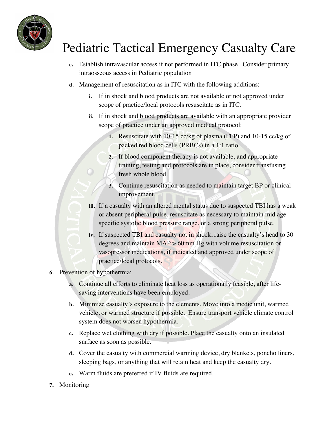

- **c.** Establish intravascular access if not performed in ITC phase. Consider primary intraosseous access in Pediatric population
- **d.** Management of resuscitation as in ITC with the following additions:
	- **i.** If in shock and blood products are not available or not approved under scope of practice/local protocols resuscitate as in ITC.
	- **ii.** If in shock and blood products are available with an appropriate provider scope of practice under an approved medical protocol:
		- **1.** Resuscitate with 10-15 cc/kg of plasma (FFP) and 10-15 cc/kg of packed red blood cells (PRBCs) in a 1:1 ratio.
		- **2.** If blood component therapy is not available, and appropriate training, testing and protocols are in place, consider transfusing fresh whole blood.
		- **3.** Continue resuscitation as needed to maintain target BP or clinical improvement.
	- **iii.** If a casualty with an altered mental status due to suspected TBI has a weak or absent peripheral pulse, resuscitate as necessary to maintain mid agespecific systolic blood pressure range, or a strong peripheral pulse.
	- **iv.** If suspected TBI and casualty not in shock, raise the casualty's head to 30 degrees and maintain MAP > 60mm Hg with volume resuscitation or vasopressor medications, if indicated and approved under scope of practice/local protocols.
- **6.** Prevention of hypothermia:
	- **a.** Continue all efforts to eliminate heat loss as operationally feasible, after lifesaving interventions have been employed.
	- **b.** Minimize casualty's exposure to the elements. Move into a medic unit, warmed vehicle, or warmed structure if possible. Ensure transport vehicle climate control system does not worsen hypothermia.
	- **c.** Replace wet clothing with dry if possible. Place the casualty onto an insulated surface as soon as possible.
	- **d.** Cover the casualty with commercial warming device, dry blankets, poncho liners, sleeping bags, or anything that will retain heat and keep the casualty dry.
	- **e.** Warm fluids are preferred if IV fluids are required.
- **7.** Monitoring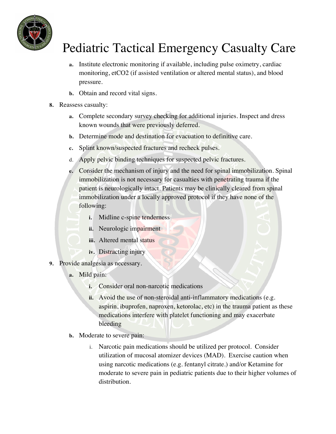

- **a.** Institute electronic monitoring if available, including pulse oximetry, cardiac monitoring, etCO2 (if assisted ventilation or altered mental status), and blood pressure.
- **b.** Obtain and record vital signs.
- **8.** Reassess casualty:
	- **a.** Complete secondary survey checking for additional injuries. Inspect and dress known wounds that were previously deferred.
	- **b.** Determine mode and destination for evacuation to definitive care.
	- **c.** Splint known/suspected fractures and recheck pulses.
	- d. Apply pelvic binding techniques for suspected pelvic fractures.
	- **e.** Consider the mechanism of injury and the need for spinal immobilization. Spinal immobilization is not necessary for casualties with penetrating trauma if the patient is neurologically intact. Patients may be clinically cleared from spinal immobilization under a locally approved protocol if they have none of the following:
		- **i.** Midline c-spine tenderness
		- **ii.** Neurologic impairment
		- **iii.** Altered mental status
		- **iv.** Distracting injury
- **9.** Provide analgesia as necessary.
	- **a.** Mild pain:
		- **i.** Consider oral non-narcotic medications
		- **ii.** Avoid the use of non-steroidal anti-inflammatory medications (e.g. aspirin, ibuprofen, naproxen, ketorolac, etc) in the trauma patient as these medications interfere with platelet functioning and may exacerbate bleeding
	- **b.** Moderate to severe pain:
		- i. Narcotic pain medications should be utilized per protocol. Consider utilization of mucosal atomizer devices (MAD). Exercise caution when using narcotic medications (e.g. fentanyl citrate.) and/or Ketamine for moderate to severe pain in pediatric patients due to their higher volumes of distribution.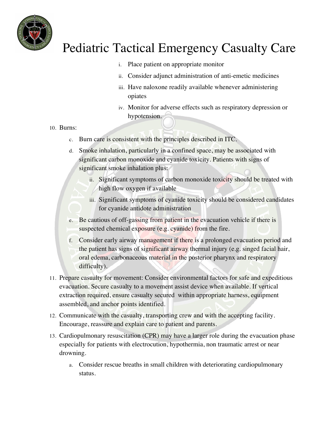

- i. Place patient on appropriate monitor
- ii. Consider adjunct administration of anti-emetic medicines
- iii. Have naloxone readily available whenever administering opiates
- iv. Monitor for adverse effects such as respiratory depression or hypotension.

#### 10. Burns:

- c. Burn care is consistent with the principles described in ITC.
- d. Smoke inhalation, particularly in a confined space, may be associated with significant carbon monoxide and cyanide toxicity. Patients with signs of significant smoke inhalation plus:
	- ii. Significant symptoms of carbon monoxide toxicity should be treated with high flow oxygen if available
	- iii. Significant symptoms of cyanide toxicity should be considered candidates for cyanide antidote administration
- e. Be cautious of off-gassing from patient in the evacuation vehicle if there is suspected chemical exposure (e.g. cyanide) from the fire.
- f. Consider early airway management if there is a prolonged evacuation period and the patient has signs of significant airway thermal injury (e.g. singed facial hair, oral edema, carbonaceous material in the posterior pharynx and respiratory difficulty).
- 11. Prepare casualty for movement: Consider environmental factors for safe and expeditious evacuation. Secure casualty to a movement assist device when available. If vertical extraction required, ensure casualty secured within appropriate harness, equipment assembled, and anchor points identified.
- 12. Communicate with the casualty, transporting crew and with the accepting facility. Encourage, reassure and explain care to patient and parents.
- 13. Cardiopulmonary resuscitation (CPR) may have a larger role during the evacuation phase especially for patients with electrocution, hypothermia, non traumatic arrest or near drowning.
	- a. Consider rescue breaths in small children with deteriorating cardiopulmonary status.